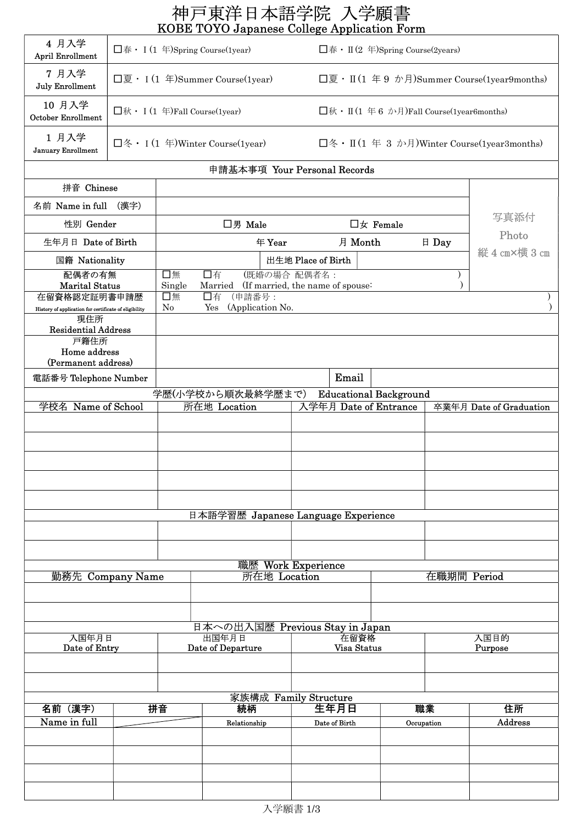|                                                                                                                                               |                                        |                                                            | 神戸東洋日本語学院 入学願書<br>KOBE TOYO Japanese College Application Form                             |                                    |                                             |             |                                                 |  |
|-----------------------------------------------------------------------------------------------------------------------------------------------|----------------------------------------|------------------------------------------------------------|-------------------------------------------------------------------------------------------|------------------------------------|---------------------------------------------|-------------|-------------------------------------------------|--|
| 4月入学<br><b>April Enrollment</b>                                                                                                               |                                        |                                                            | $\Box$ 春 • I (1 年)Spring Course(1year)                                                    |                                    | $\Box$ 春 • II (2 年)Spring Course(2years)    |             |                                                 |  |
| 7月入学<br><b>July Enrollment</b>                                                                                                                |                                        | $\Box \overline{g} \cdot I(1 \oplus)$ Summer Course(1year) |                                                                                           |                                    |                                             |             | $\Box$ 夏・Ⅱ(1年9 か月)Summer Course(1year9months)   |  |
| 10 月入学<br><b>October Enrollment</b>                                                                                                           | $\Box$ 秋 • I (1 年) Fall Course (1year) |                                                            |                                                                                           |                                    | $\Box$ 秋・Ⅱ(1年6 か月)Fall Course(1year6months) |             |                                                 |  |
| 1月入学<br><b>January Enrollment</b>                                                                                                             |                                        |                                                            | $\square$ 冬 • I (1 年)Winter Course(1year)                                                 |                                    |                                             |             | $\square$ 冬・Ⅱ(1年3か月)Winter Course(1year3months) |  |
|                                                                                                                                               |                                        |                                                            |                                                                                           | 申請基本事項 Your Personal Records       |                                             |             |                                                 |  |
| 拼音 Chinese                                                                                                                                    |                                        |                                                            |                                                                                           |                                    |                                             |             |                                                 |  |
| 名前 Name in full (漢字)                                                                                                                          |                                        |                                                            |                                                                                           |                                    |                                             |             |                                                 |  |
| 性別 Gender                                                                                                                                     |                                        |                                                            | □男 Male                                                                                   |                                    | $\square$ $\overline{x}$ Female             |             | 写真添付                                            |  |
| 生年月日 Date of Birth                                                                                                                            |                                        |                                                            | 年 Year                                                                                    |                                    | 月 Month                                     | 日 Day       | Photo                                           |  |
| 国籍 Nationality                                                                                                                                |                                        |                                                            |                                                                                           | 出生地 Place of Birth                 |                                             |             | 縦 4 cm×横 3 cm                                   |  |
| 配偶者の有無<br><b>Marital Status</b><br>在留資格認定証明書申請歴<br>History of application for certificate of eligibility<br>現住所<br><b>Residential Address</b> |                                        | 口無<br>Single<br>口無<br>No                                   | 口有<br>Married (If married, the name of spouse:<br>(申請番号:<br>口有<br>(Application No.<br>Yes | (既婚の場合 配偶者名:                       |                                             |             |                                                 |  |
| 戸籍住所<br>Home address<br>(Permanent address)<br>電話番号 Telephone Number                                                                          |                                        |                                                            |                                                                                           |                                    | Email                                       |             |                                                 |  |
|                                                                                                                                               |                                        |                                                            | 学歴(小学校から順次最終学歴まで)                                                                         |                                    | <b>Educational Background</b>               |             |                                                 |  |
| 学校名 Name of School                                                                                                                            |                                        |                                                            | 所在地 Location                                                                              |                                    | 入学年月 Date of Entrance                       |             | 卒業年月 Date of Graduation                         |  |
|                                                                                                                                               |                                        |                                                            |                                                                                           |                                    |                                             |             |                                                 |  |
|                                                                                                                                               |                                        |                                                            | 日本語学習歴 Japanese Language Experience                                                       |                                    |                                             |             |                                                 |  |
|                                                                                                                                               |                                        |                                                            |                                                                                           |                                    |                                             |             |                                                 |  |
|                                                                                                                                               |                                        |                                                            |                                                                                           |                                    |                                             |             |                                                 |  |
| 勤務先 Company Name                                                                                                                              |                                        |                                                            |                                                                                           | 職歴 Work Experience<br>所在地 Location |                                             | 在職期間 Period |                                                 |  |
|                                                                                                                                               |                                        |                                                            | 日本への出入国歴 Previous Stay in Japan                                                           |                                    |                                             |             |                                                 |  |
| 入国年月日<br>Date of Entry                                                                                                                        |                                        | 出国年月日<br>Date of Departure                                 |                                                                                           |                                    | 在留資格<br>Visa Status                         |             | 入国目的<br>Purpose                                 |  |
|                                                                                                                                               |                                        |                                                            |                                                                                           |                                    |                                             |             |                                                 |  |
|                                                                                                                                               |                                        |                                                            |                                                                                           |                                    |                                             |             |                                                 |  |
|                                                                                                                                               |                                        |                                                            |                                                                                           | 家族構成 Family Structure              |                                             |             |                                                 |  |
| 名前(漢字)                                                                                                                                        |                                        | 拼音                                                         | 続柄                                                                                        | 生年月日                               |                                             | 職業          | 住所                                              |  |
| Name in full                                                                                                                                  |                                        |                                                            | Relationship                                                                              | Date of Birth                      |                                             | Occupation  | Address                                         |  |
|                                                                                                                                               |                                        |                                                            |                                                                                           |                                    |                                             |             |                                                 |  |
|                                                                                                                                               |                                        |                                                            |                                                                                           |                                    |                                             |             |                                                 |  |
|                                                                                                                                               |                                        |                                                            |                                                                                           |                                    |                                             |             |                                                 |  |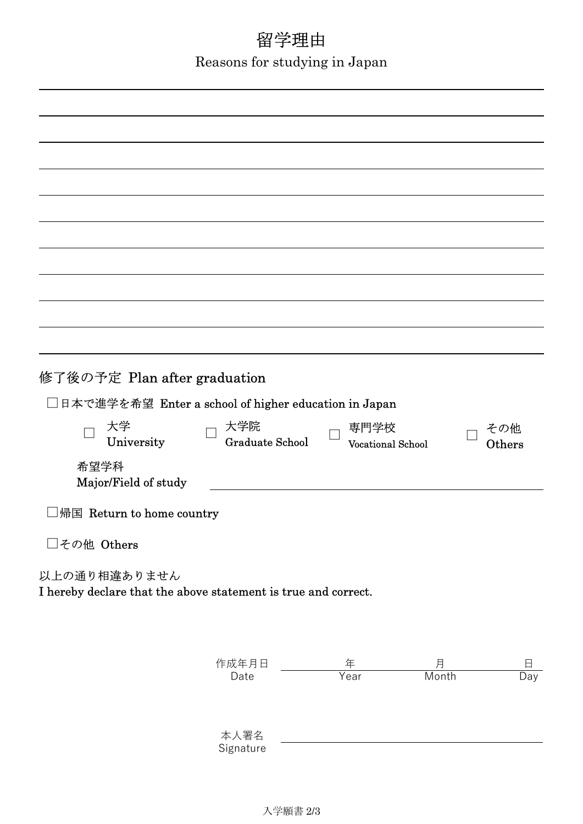# 留学理由

Reasons for studying in Japan

| 修了後の予定 Plan after graduation<br>□日本で進学を希望 Enter a school of higher education in Japan<br>大学<br>University<br>希望学科<br>Major/Field of study<br>帰国 Return to home country<br>□その他 Others | 大学院<br><b>Graduate School</b> | 専門学校<br><b>Vocational School</b> |            | その他<br>Others |
|---------------------------------------------------------------------------------------------------------------------------------------------------------------------------------------|-------------------------------|----------------------------------|------------|---------------|
| 以上の通り相違ありません<br>I hereby declare that the above statement is true and correct.                                                                                                        |                               |                                  |            |               |
|                                                                                                                                                                                       | 作成年月日<br>Date                 | 年<br>Year                        | 月<br>Month | 日<br>Day      |
|                                                                                                                                                                                       |                               |                                  |            |               |
|                                                                                                                                                                                       |                               |                                  |            |               |

Signature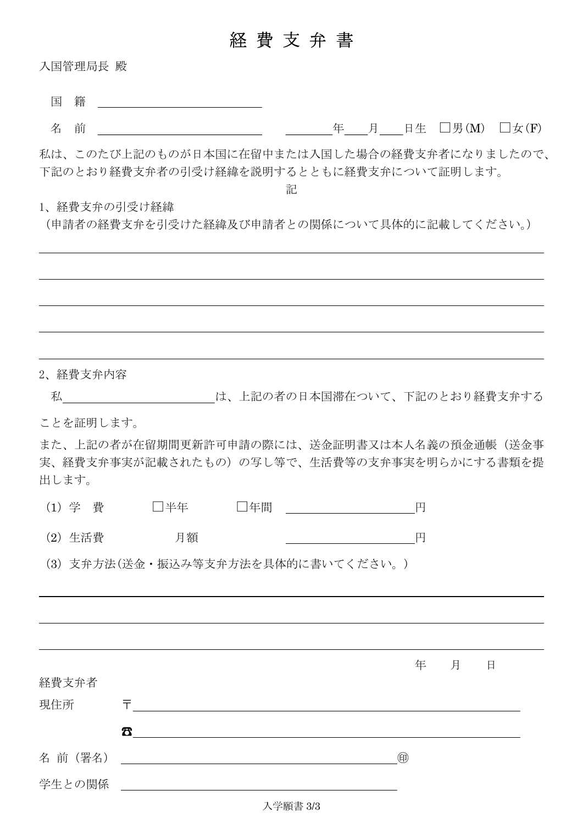## 経 費 支 弁 書

入国管理局長 殿

名 前 年 月 日生 □男(M) □女(F)

私は、このたび上記のものが日本国に在留中または入国した場合の経費支弁者になりましたので、 下記のとおり経費支弁者の引受け経緯を説明するとともに経費支弁について証明します。

記

#### 1、経費支弁の引受け経緯

(申請者の経費支弁を引受けた経緯及び申請者との関係について具体的に記載してください。)

| 2、経費支弁内容                                                                                            |                         |             |   |   |
|-----------------------------------------------------------------------------------------------------|-------------------------|-------------|---|---|
| 私 そんな は、上記の者の日本国滞在ついて、下記のとおり経費支弁する                                                                  |                         |             |   |   |
| ことを証明します。                                                                                           |                         |             |   |   |
| また、上記の者が在留期間更新許可申請の際には、送金証明書又は本人名義の預金通帳(送金事<br>実、経費支弁事実が記載されたもの)の写し等で、生活費等の支弁事実を明らかにする書類を提<br>出します。 |                         |             |   |   |
| (1) 学 費 □半年                                                                                         | □年間 ___________________ | 円           |   |   |
| 月額<br>(2) 生活費                                                                                       |                         | 円           |   |   |
| (3) 支弁方法(送金・振込み等支弁方法を具体的に書いてください。)                                                                  |                         |             |   |   |
|                                                                                                     |                         |             |   |   |
|                                                                                                     |                         |             |   |   |
|                                                                                                     |                         |             |   |   |
|                                                                                                     |                         | 年           | 月 | 日 |
| 経費支弁者                                                                                               |                         |             |   |   |
| 現住所<br>두                                                                                            |                         |             |   |   |
| Δ                                                                                                   |                         |             |   |   |
| 名 前 (署名)                                                                                            |                         | $\circledR$ |   |   |
| 学生との関係                                                                                              |                         |             |   |   |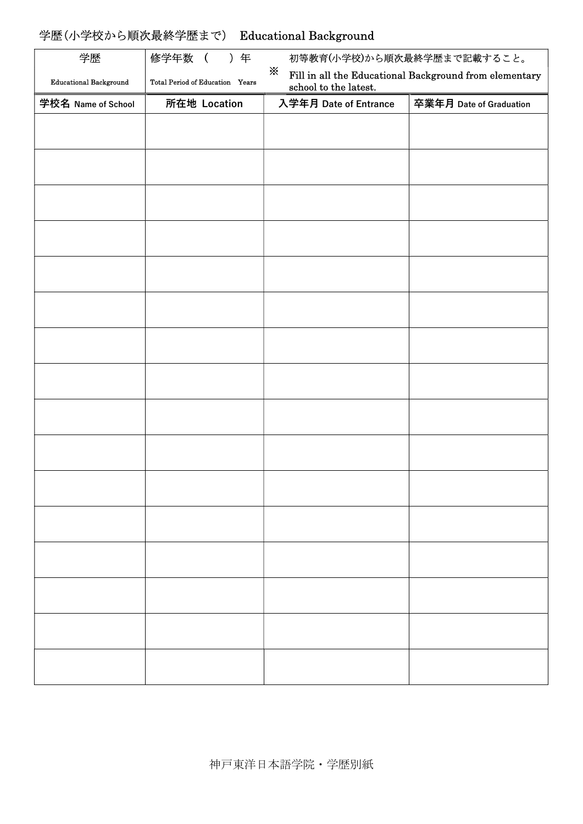#### 学歴(小学校から順次最終学歴まで) Educational Background

| 学歴                            | 修学年数<br>) 年                     | 初等教育(小学校)から順次最終学歴まで記載すること。                                                           |  |
|-------------------------------|---------------------------------|--------------------------------------------------------------------------------------|--|
| <b>Educational Background</b> | Total Period of Education Years | ☀<br>Fill in all the Educational Background from elementary<br>school to the latest. |  |
| 学校名 Name of School            | 所在地 Location                    | 卒業年月 Date of Graduation<br>入学年月 Date of Entrance                                     |  |
|                               |                                 |                                                                                      |  |
|                               |                                 |                                                                                      |  |
|                               |                                 |                                                                                      |  |
|                               |                                 |                                                                                      |  |
|                               |                                 |                                                                                      |  |
|                               |                                 |                                                                                      |  |
|                               |                                 |                                                                                      |  |
|                               |                                 |                                                                                      |  |
|                               |                                 |                                                                                      |  |
|                               |                                 |                                                                                      |  |
|                               |                                 |                                                                                      |  |
|                               |                                 |                                                                                      |  |
|                               |                                 |                                                                                      |  |
|                               |                                 |                                                                                      |  |
|                               |                                 |                                                                                      |  |
|                               |                                 |                                                                                      |  |
|                               |                                 |                                                                                      |  |
|                               |                                 |                                                                                      |  |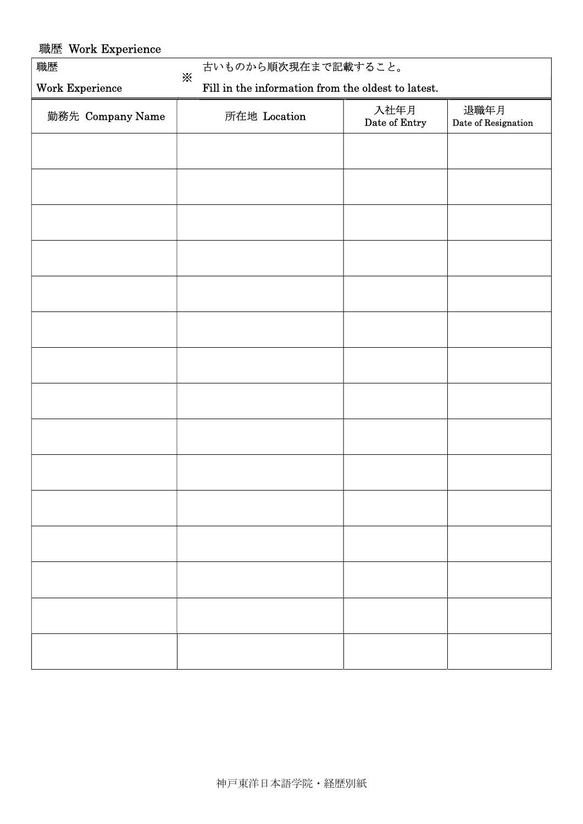| 職歴 Work Experience |                                                                    |                       |                             |  |  |
|--------------------|--------------------------------------------------------------------|-----------------------|-----------------------------|--|--|
| 職歴                 | 古いものから順次現在まで記載すること。                                                |                       |                             |  |  |
| Work Experience    | $\mathbb{X}$<br>Fill in the information from the oldest to latest. |                       |                             |  |  |
| 勤務先 Company Name   | 所在地 Location                                                       | 入社年月<br>Date of Entry | 退職年月<br>Date of Resignation |  |  |
|                    |                                                                    |                       |                             |  |  |
|                    |                                                                    |                       |                             |  |  |
|                    |                                                                    |                       |                             |  |  |
|                    |                                                                    |                       |                             |  |  |
|                    |                                                                    |                       |                             |  |  |
|                    |                                                                    |                       |                             |  |  |
|                    |                                                                    |                       |                             |  |  |
|                    |                                                                    |                       |                             |  |  |
|                    |                                                                    |                       |                             |  |  |
|                    |                                                                    |                       |                             |  |  |
|                    |                                                                    |                       |                             |  |  |
|                    |                                                                    |                       |                             |  |  |
|                    |                                                                    |                       |                             |  |  |
|                    |                                                                    |                       |                             |  |  |
|                    |                                                                    |                       |                             |  |  |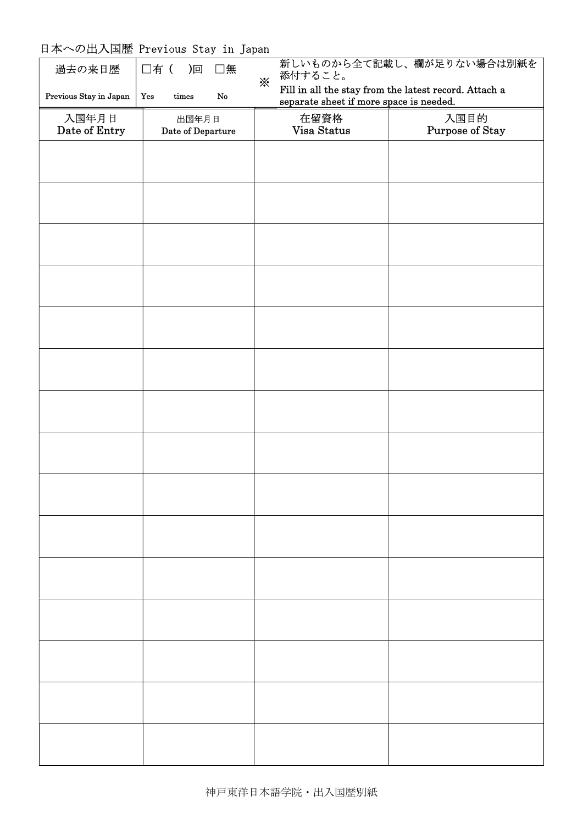#### 日本への出入国歴 Previous Stay in Japan

| 過去の来日歴                 | □有( )回 □無                          | 添付すること。<br>⋇                            | 新しいものから全て記載し、欄が足りない場合は別紙を                                                |
|------------------------|------------------------------------|-----------------------------------------|--------------------------------------------------------------------------|
| Previous Stay in Japan | Yes<br>${\rm times}$<br>${\bf No}$ | separate sheet if more space is needed. | $\operatorname{Fill}$ in all the stay from the latest record. Attach $a$ |
| 入国年月日<br>Date of Entry | 出国年月日<br>Date of Departure         | 在留資格<br>Visa Status                     | 入国目的<br>Purpose of Stay                                                  |
|                        |                                    |                                         |                                                                          |
|                        |                                    |                                         |                                                                          |
|                        |                                    |                                         |                                                                          |
|                        |                                    |                                         |                                                                          |
|                        |                                    |                                         |                                                                          |
|                        |                                    |                                         |                                                                          |
|                        |                                    |                                         |                                                                          |
|                        |                                    |                                         |                                                                          |
|                        |                                    |                                         |                                                                          |
|                        |                                    |                                         |                                                                          |
|                        |                                    |                                         |                                                                          |
|                        |                                    |                                         |                                                                          |
|                        |                                    |                                         |                                                                          |
|                        |                                    |                                         |                                                                          |
|                        |                                    |                                         |                                                                          |
|                        |                                    |                                         |                                                                          |